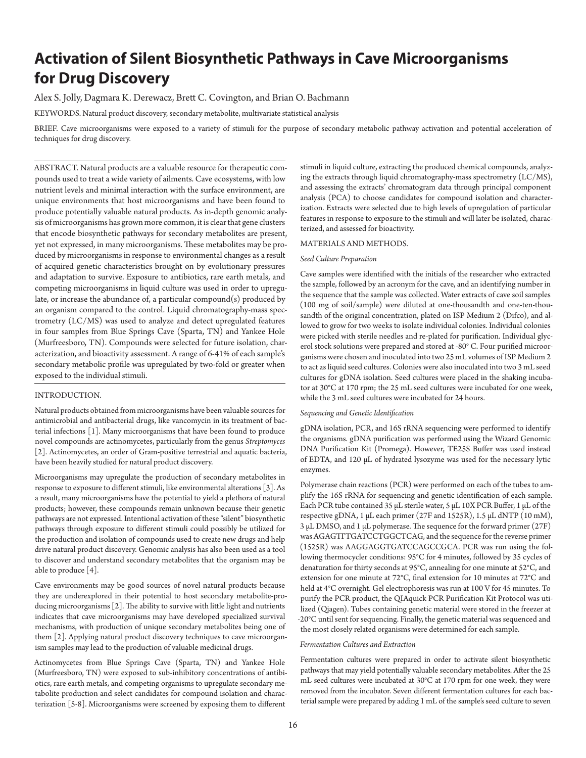# **Activation of Silent Biosynthetic Pathways in Cave Microorganisms for Drug Discovery**

Alex S. Jolly, Dagmara K. Derewacz, Brett C. Covington, and Brian O. Bachmann

KEYWORDS. Natural product discovery, secondary metabolite, multivariate statistical analysis

BRIEF. Cave microorganisms were exposed to a variety of stimuli for the purpose of secondary metabolic pathway activation and potential acceleration of techniques for drug discovery.

ABSTRACT. Natural products are a valuable resource for therapeutic compounds used to treat a wide variety of ailments. Cave ecosystems, with low nutrient levels and minimal interaction with the surface environment, are unique environments that host microorganisms and have been found to produce potentially valuable natural products. As in-depth genomic analysis of microorganisms has grown more common, it is clear that gene clusters that encode biosynthetic pathways for secondary metabolites are present, yet not expressed, in many microorganisms. These metabolites may be produced by microorganisms in response to environmental changes as a result of acquired genetic characteristics brought on by evolutionary pressures and adaptation to survive. Exposure to antibiotics, rare earth metals, and competing microorganisms in liquid culture was used in order to upregulate, or increase the abundance of, a particular compound(s) produced by an organism compared to the control. Liquid chromatography-mass spectrometry (LC/MS) was used to analyze and detect upregulated features in four samples from Blue Springs Cave (Sparta, TN) and Yankee Hole (Murfreesboro, TN). Compounds were selected for future isolation, characterization, and bioactivity assessment. A range of 6-41% of each sample's secondary metabolic profile was upregulated by two-fold or greater when exposed to the individual stimuli.

# INTRODUCTION.

Natural products obtained from microorganisms have been valuable sources for antimicrobial and antibacterial drugs, like vancomycin in its treatment of bacterial infections [1]. Many microorganisms that have been found to produce novel compounds are actinomycetes, particularly from the genus *Streptomyces* [2]. Actinomycetes, an order of Gram-positive terrestrial and aquatic bacteria, have been heavily studied for natural product discovery.

Microorganisms may upregulate the production of secondary metabolites in response to exposure to different stimuli, like environmental alterations [3]. As a result, many microorganisms have the potential to yield a plethora of natural products; however, these compounds remain unknown because their genetic pathways are not expressed. Intentional activation of these "silent" biosynthetic pathways through exposure to different stimuli could possibly be utilized for the production and isolation of compounds used to create new drugs and help drive natural product discovery. Genomic analysis has also been used as a tool to discover and understand secondary metabolites that the organism may be able to produce [4].

Cave environments may be good sources of novel natural products because they are underexplored in their potential to host secondary metabolite-producing microorganisms [2]. The ability to survive with little light and nutrients indicates that cave microorganisms may have developed specialized survival mechanisms, with production of unique secondary metabolites being one of them [2]. Applying natural product discovery techniques to cave microorganism samples may lead to the production of valuable medicinal drugs.

Actinomycetes from Blue Springs Cave (Sparta, TN) and Yankee Hole (Murfreesboro, TN) were exposed to sub-inhibitory concentrations of antibiotics, rare earth metals, and competing organisms to upregulate secondary metabolite production and select candidates for compound isolation and characterization [5-8]. Microorganisms were screened by exposing them to different

stimuli in liquid culture, extracting the produced chemical compounds, analyzing the extracts through liquid chromatography-mass spectrometry (LC/MS), and assessing the extracts' chromatogram data through principal component analysis (PCA) to choose candidates for compound isolation and characterization. Extracts were selected due to high levels of upregulation of particular features in response to exposure to the stimuli and will later be isolated, characterized, and assessed for bioactivity.

## MATERIALS AND METHODS.

#### *Seed Culture Preparation*

Cave samples were identified with the initials of the researcher who extracted the sample, followed by an acronym for the cave, and an identifying number in the sequence that the sample was collected. Water extracts of cave soil samples (100 mg of soil/sample) were diluted at one-thousandth and one-ten-thousandth of the original concentration, plated on ISP Medium 2 (Difco), and allowed to grow for two weeks to isolate individual colonies. Individual colonies were picked with sterile needles and re-plated for purification. Individual glycerol stock solutions were prepared and stored at -80° C. Four purified microorganisms were chosen and inoculated into two 25 mL volumes of ISP Medium 2 to act as liquid seed cultures. Colonies were also inoculated into two 3 mL seed cultures for gDNA isolation. Seed cultures were placed in the shaking incubator at 30°C at 170 rpm; the 25 mL seed cultures were incubated for one week, while the 3 mL seed cultures were incubated for 24 hours.

#### *Sequencing and Genetic Identification*

gDNA isolation, PCR, and 16S rRNA sequencing were performed to identify the organisms. gDNA purification was performed using the Wizard Genomic DNA Purification Kit (Promega). However, TE25S Buffer was used instead of EDTA, and 120 μL of hydrated lysozyme was used for the necessary lytic enzymes.

Polymerase chain reactions (PCR) were performed on each of the tubes to amplify the 16S rRNA for sequencing and genetic identification of each sample. Each PCR tube contained 35 μL sterile water, 5 μL 10X PCR Buffer, 1 μL of the respective gDNA, 1 μL each primer (27F and 1525R), 1.5 μL dNTP (10 mM), 3 μL DMSO, and 1 μL polymerase. The sequence for the forward primer (27F) was AGAGTTTGATCCTGGCTCAG, and the sequence for the reverse primer (1525R) was AAGGAGGTGATCCAGCCGCA. PCR was run using the following thermocycler conditions: 95°C for 4 minutes, followed by 35 cycles of denaturation for thirty seconds at 95°C, annealing for one minute at 52°C, and extension for one minute at 72°C, final extension for 10 minutes at 72°C and held at 4°C overnight. Gel electrophoresis was run at 100 V for 45 minutes. To purify the PCR product, the QIAquick PCR Purification Kit Protocol was utilized (Qiagen). Tubes containing genetic material were stored in the freezer at -20°C until sent for sequencing. Finally, the genetic material was sequenced and the most closely related organisms were determined for each sample.

#### *Fermentation Cultures and Extraction*

Fermentation cultures were prepared in order to activate silent biosynthetic pathways that may yield potentially valuable secondary metabolites. After the 25 mL seed cultures were incubated at 30°C at 170 rpm for one week, they were removed from the incubator. Seven different fermentation cultures for each bacterial sample were prepared by adding 1 mL of the sample's seed culture to seven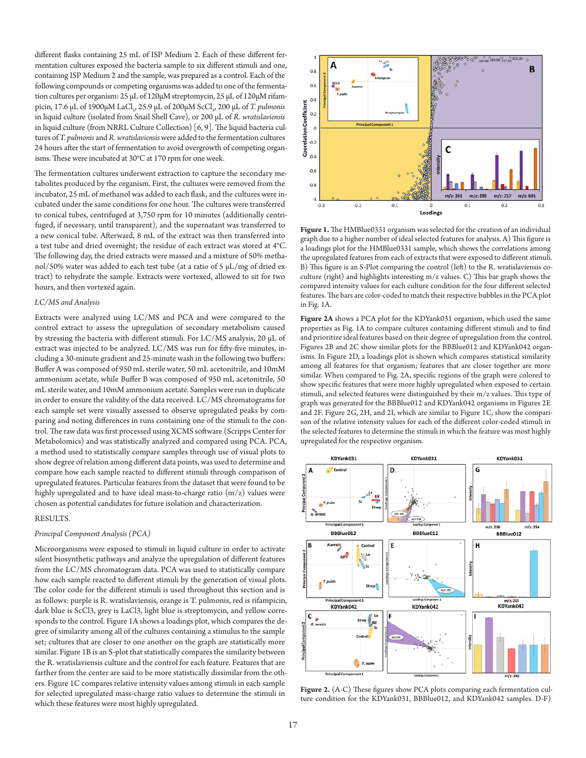different flasks containing 25 mL of ISP Medium 2. Each of these different fermentation cultures exposed the bacteria sample to six different stimuli and one, containing ISP Medium 2 and the sample, was prepared as a control. Each of the following compounds or competing organisms was added to one of the fermentation cultures per organism: 25 μL of 120μM streptomycin, 25 μL of 120μM rifampicin, 17.6 μL of 1900μM LaCl<sub>3</sub>, 25.9 μL of 200μM ScCl<sub>3</sub>, 200 μL of *T. pulmonis* in liquid culture (isolated from Snail Shell Cave), or 200 μL of *R. wratislaviensis* in liquid culture (from NRRL Culture Collection) [6, 9]. The liquid bacteria cultures of *T. pulmonis* and *R. wratislaviensis* were added to the fermentation cultures 24 hours after the start of fermentation to avoid overgrowth of competing organisms. These were incubated at 30°C at 170 rpm for one week.

The fermentation cultures underwent extraction to capture the secondary metabolites produced by the organism. First, the cultures were removed from the incubator, 25 mL of methanol was added to each flask, and the cultures were incubated under the same conditions for one hour. The cultures were transferred to conical tubes, centrifuged at 3,750 rpm for 10 minutes (additionally centrifuged, if necessary, until transparent), and the supernatant was transferred to a new conical tube. Afterward, 8 mL of the extract was then transferred into a test tube and dried overnight; the residue of each extract was stored at 4°C. The following day, the dried extracts were massed and a mixture of 50% methanol/50% water was added to each test tube (at a ratio of 5 μL/mg of dried extract) to rehydrate the sample. Extracts were vortexed, allowed to sit for two hours, and then vortexed again.

#### *LC/MS and Analysis*

Extracts were analyzed using LC/MS and PCA and were compared to the control extract to assess the upregulation of secondary metabolism caused by stressing the bacteria with different stimuli. For LC/MS analysis, 20 μL of extract was injected to be analyzed. LC/MS was run for fifty-five minutes, including a 30-minute gradient and 25-minute wash in the following two buffers: Buffer A was composed of 950 mL sterile water, 50 mL acetonitrile, and 10mM ammonium acetate, while Buffer B was composed of 950 mL acetonitrile, 50 mL sterile water, and 10mM ammonium acetate. Samples were run in duplicate in order to ensure the validity of the data received. LC/MS chromatograms for each sample set were visually assessed to observe upregulated peaks by comparing and noting differences in runs containing one of the stimuli to the control. The raw data was first processed using XCMS software (Scripps Center for Metabolomics) and was statistically analyzed and compared using PCA. PCA, a method used to statistically compare samples through use of visual plots to show degree of relation among different data points, was used to determine and compare how each sample reacted to different stimuli through comparison of upregulated features. Particular features from the dataset that were found to be highly upregulated and to have ideal mass-to-charge ratio (m/z) values were chosen as potential candidates for future isolation and characterization.

#### RESULTS.

# *Principal Component Analysis (PCA)*

Microorganisms were exposed to stimuli in liquid culture in order to activate silent biosynthetic pathways and analyze the upregulation of different features from the LC/MS chromatogram data. PCA was used to statistically compare how each sample reacted to different stimuli by the generation of visual plots. The color code for the different stimuli is used throughout this section and is as follows: purple is R. wratislaviensis, orange is T. pulmonis, red is rifampicin, dark blue is ScCl3, grey is LaCl3, light blue is streptomycin, and yellow corresponds to the control. Figure 1A shows a loadings plot, which compares the degree of similarity among all of the cultures containing a stimulus to the sample set; cultures that are closer to one another on the graph are statistically more similar. Figure 1B is an S-plot that statistically compares the similarity between the R. wratislaviensis culture and the control for each feature. Features that are farther from the center are said to be more statistically dissimilar from the others. Figure 1C compares relative intensity values among stimuli in each sample for selected upregulated mass-charge ratio values to determine the stimuli in which these features were most highly upregulated.



**Figure 1.** The HMBlue0331 organism was selected for the creation of an individual graph due to a higher number of ideal selected features for analysis. A) This figure is a loadings plot for the HMBlue0331 sample, which shows the correlations among the upregulated features from each of extracts that were exposed to different stimuli. B) This figure is an S-Plot comparing the control (left) to the R. wratislaviensis coculture (right) and highlights interesting m/z values. C) This bar graph shows the compared intensity values for each culture condition for the four different selected features. The bars are color-coded to match their respective bubbles in the PCA plot in Fig. 1A.

**Figure 2A** shows a PCA plot for the KDYank031 organism, which used the same properties as Fig. 1A to compare cultures containing different stimuli and to find and prioritize ideal features based on their degree of upregulation from the control. Figures 2B and 2C show similar plots for the BBBlue012 and KDYank042 organisms. In Figure 2D, a loadings plot is shown which compares statistical similarity among all features for that organism; features that are closer together are more similar. When compared to Fig. 2A, specific regions of the graph were colored to show specific features that were more highly upregulated when exposed to certain stimuli, and selected features were distinguished by their m/z values. This type of graph was generated for the BBBlue012 and KDYank042 organisms in Figures 2E and 2F. Figure 2G, 2H, and 2I, which are similar to Figure 1C, show the comparison of the relative intensity values for each of the different color-coded stimuli in the selected features to determine the stimuli in which the feature was most highly upregulated for the respective organism.



Figure 2. (A-C) These figures show PCA plots comparing each fermentation culture condition for the KDYank031, BBBlue012, and KDYank042 samples. D-F)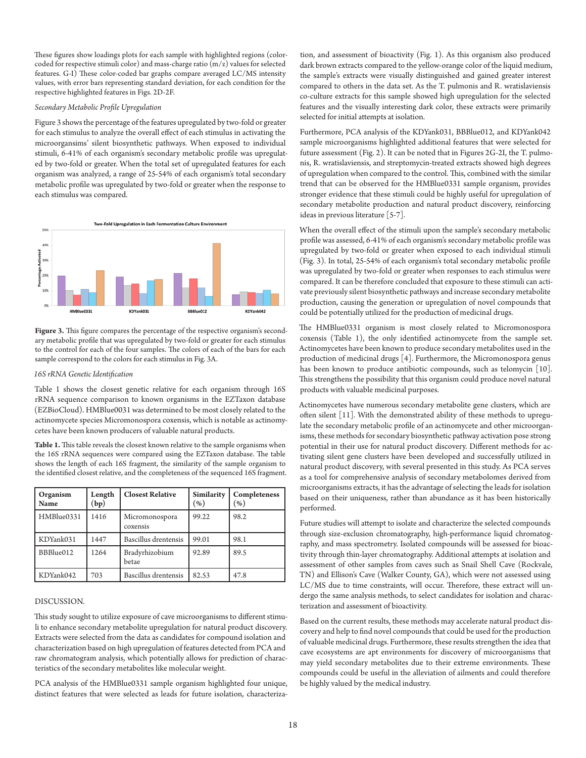These figures show loadings plots for each sample with highlighted regions (colorcoded for respective stimuli color) and mass-charge ratio (m/z) values for selected features. G-I) These color-coded bar graphs compare averaged LC/MS intensity values, with error bars representing standard deviation, for each condition for the respective highlighted features in Figs. 2D-2F.

#### *Secondary Metabolic Profile Upregulation*

Figure 3 shows the percentage of the features upregulated by two-fold or greater for each stimulus to analyze the overall effect of each stimulus in activating the microorgansims' silent biosynthetic pathways. When exposed to individual stimuli, 6-41% of each organism's secondary metabolic profile was upregulated by two-fold or greater. When the total set of upregulated features for each organism was analyzed, a range of 25-54% of each organism's total secondary metabolic profile was upregulated by two-fold or greater when the response to each stimulus was compared.



Figure 3. This figure compares the percentage of the respective organism's secondary metabolic profile that was upregulated by two-fold or greater for each stimulus to the control for each of the four samples. The colors of each of the bars for each sample correspond to the colors for each stimulus in Fig. 3A.

#### *16S rRNA Genetic Identification*

Table 1 shows the closest genetic relative for each organism through 16S rRNA sequence comparison to known organisms in the EZTaxon database (EZBioCloud). HMBlue0031 was determined to be most closely related to the actinomycete species Micromonospora coxensis, which is notable as actinomycetes have been known producers of valuable natural products.

**Table 1.** This table reveals the closest known relative to the sample organisms when the 16S rRNA sequences were compared using the EZTaxon database. The table shows the length of each 16S fragment, the similarity of the sample organism to the identified closest relative, and the completeness of the sequenced 16S fragment.

| Organism<br>Name | Length<br>(bp) | <b>Closest Relative</b>    | Similarity<br>$(\% )$ | Completeness<br>(96) |
|------------------|----------------|----------------------------|-----------------------|----------------------|
| HMBlue0331       | 1416           | Micromonospora<br>coxensis | 99.22                 | 98.2                 |
| KDYank031        | 1447           | Bascillus drentensis       | 99.01                 | 98.1                 |
| BBBlue012        | 1264           | Bradyrhizobium<br>betae    | 92.89                 | 89.5                 |
| KDYank042        | 703            | Bascillus drentensis       | 82.53                 | 47.8                 |

### DISCUSSION.

This study sought to utilize exposure of cave microorganisms to different stimuli to enhance secondary metabolite upregulation for natural product discovery. Extracts were selected from the data as candidates for compound isolation and characterization based on high upregulation of features detected from PCA and raw chromatogram analysis, which potentially allows for prediction of characteristics of the secondary metabolites like molecular weight.

PCA analysis of the HMBlue0331 sample organism highlighted four unique, distinct features that were selected as leads for future isolation, characteriza-

tion, and assessment of bioactivity (Fig. 1). As this organism also produced dark brown extracts compared to the yellow-orange color of the liquid medium, the sample's extracts were visually distinguished and gained greater interest compared to others in the data set. As the T. pulmonis and R. wratislaviensis co-culture extracts for this sample showed high upregulation for the selected features and the visually interesting dark color, these extracts were primarily selected for initial attempts at isolation.

Furthermore, PCA analysis of the KDYank031, BBBlue012, and KDYank042 sample microorganisms highlighted additional features that were selected for future assessment (Fig. 2). It can be noted that in Figures 2G-2I, the T. pulmonis, R. wratislaviensis, and streptomycin-treated extracts showed high degrees of upregulation when compared to the control. This, combined with the similar trend that can be observed for the HMBlue0331 sample organism, provides stronger evidence that these stimuli could be highly useful for upregulation of secondary metabolite production and natural product discovery, reinforcing ideas in previous literature [5-7].

When the overall effect of the stimuli upon the sample's secondary metabolic profile was assessed, 6-41% of each organism's secondary metabolic profile was upregulated by two-fold or greater when exposed to each individual stimuli (Fig. 3). In total, 25-54% of each organism's total secondary metabolic profile was upregulated by two-fold or greater when responses to each stimulus were compared. It can be therefore concluded that exposure to these stimuli can activate previously silent biosynthetic pathways and increase secondary metabolite production, causing the generation or upregulation of novel compounds that could be potentially utilized for the production of medicinal drugs.

The HMBlue0331 organism is most closely related to Micromonospora coxensis (Table 1), the only identified actinomycete from the sample set. Actinomycetes have been known to produce secondary metabolites used in the production of medicinal drugs [4]. Furthermore, the Micromonospora genus has been known to produce antibiotic compounds, such as telomycin [10]. This strengthens the possibility that this organism could produce novel natural products with valuable medicinal purposes.

Actinomycetes have numerous secondary metabolite gene clusters, which are often silent [11]. With the demonstrated ability of these methods to upregulate the secondary metabolic profile of an actinomycete and other microorganisms, these methods for secondary biosynthetic pathway activation pose strong potential in their use for natural product discovery. Different methods for activating silent gene clusters have been developed and successfully utilized in natural product discovery, with several presented in this study. As PCA serves as a tool for comprehensive analysis of secondary metabolomes derived from microorganisms extracts, it has the advantage of selecting the leads for isolation based on their uniqueness, rather than abundance as it has been historically performed.

Future studies will attempt to isolate and characterize the selected compounds through size-exclusion chromatography, high-performance liquid chromatography, and mass spectrometry. Isolated compounds will be assessed for bioactivity through thin-layer chromatography. Additional attempts at isolation and assessment of other samples from caves such as Snail Shell Cave (Rockvale, TN) and Ellison's Cave (Walker County, GA), which were not assessed using LC/MS due to time constraints, will occur. Therefore, these extract will undergo the same analysis methods, to select candidates for isolation and characterization and assessment of bioactivity.

Based on the current results, these methods may accelerate natural product discovery and help to find novel compounds that could be used for the production of valuable medicinal drugs. Furthermore, these results strengthen the idea that cave ecosystems are apt environments for discovery of microorganisms that may yield secondary metabolites due to their extreme environments. These compounds could be useful in the alleviation of ailments and could therefore be highly valued by the medical industry.